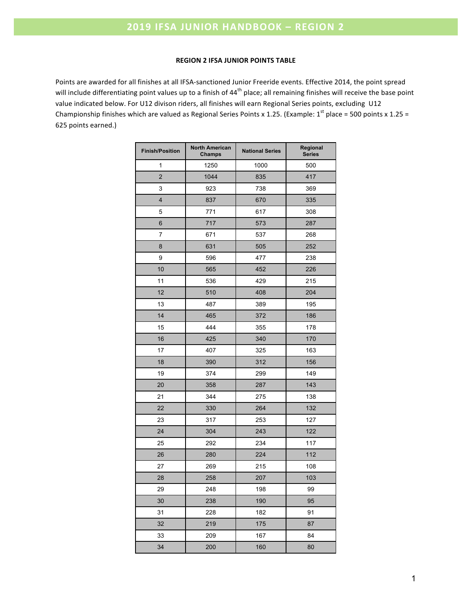### **REGION 2 IFSA JUNIOR POINTS TABLE**

Points are awarded for all finishes at all IFSA-sanctioned Junior Freeride events. Effective 2014, the point spread will include differentiating point values up to a finish of 44<sup>th</sup> place; all remaining finishes will receive the base point value indicated below. For U12 divison riders, all finishes will earn Regional Series points, excluding U12 Championship finishes which are valued as Regional Series Points x 1.25. (Example:  $1^{st}$  place = 500 points x 1.25 = 625 points earned.)

| <b>Finish/Position</b> | <b>North American</b><br>Champs | <b>National Series</b> | Regional<br><b>Series</b> |
|------------------------|---------------------------------|------------------------|---------------------------|
| 1                      | 1250                            | 1000                   | 500                       |
| $\overline{2}$         | 1044                            | 835                    | 417                       |
| 3                      | 923                             | 738                    | 369                       |
| 4                      | 837<br>670                      |                        | 335                       |
| 5                      | 771<br>617                      |                        | 308                       |
| 6                      | 717                             | 573                    | 287                       |
| 7                      | 671                             | 537                    | 268                       |
| 8                      | 631                             | 505                    | 252                       |
| 9                      | 596                             | 477                    | 238                       |
| 10                     | 565                             | 452                    | 226                       |
| 11                     | 536                             | 429                    | 215                       |
| 12                     | 510                             | 408                    | 204                       |
| 13                     | 487                             | 389                    | 195                       |
| 14                     | 465                             | 372                    |                           |
| 15                     | 444                             | 355                    | 178                       |
| 16                     | 425                             | 340                    | 170                       |
| 17                     | 407                             | 325                    | 163                       |
| 18                     | 390                             | 312                    | 156                       |
| 19                     | 374                             | 299                    | 149                       |
| 20                     | 358                             | 287                    | 143                       |
| 21                     | 344                             | 275                    | 138                       |
| 22                     | 330                             | 264                    | 132                       |
| 23                     | 317                             | 253                    | 127                       |
| 24                     | 304                             | 243                    | 122                       |
| 25                     | 292                             | 234                    | 117                       |
| 26                     | 280                             | 224                    | 112                       |
| 27                     | 269                             | 215                    | 108                       |
| 28                     | 258                             | 207                    | 103                       |
| 29                     | 248                             | 198                    | 99                        |
| 30                     | 238                             | 190                    | 95                        |
| 31                     | 228                             | 182                    | 91                        |
| 32                     | 219                             | 175                    | 87                        |
| 33                     | 209                             | 167                    | 84                        |
| 34                     | 200                             | 160                    | 80                        |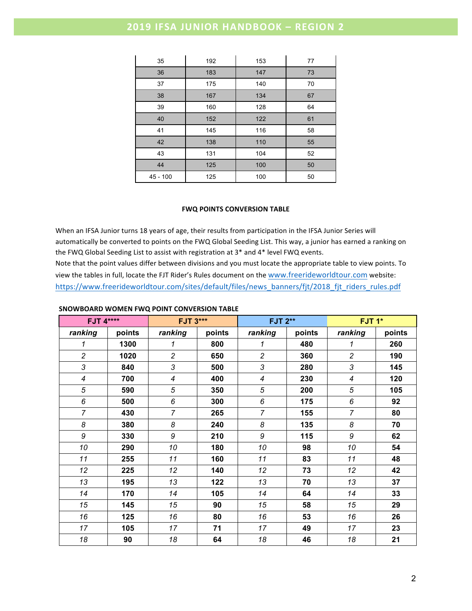### **2019 IFSA JUNIOR HANDBOOK - REGION 2**

| 35         | 192        | 153 | 77 |
|------------|------------|-----|----|
| 36         | 183        | 147 | 73 |
| 37         | 175        | 140 | 70 |
| 38         | 167        | 134 | 67 |
| 39         | 160        | 128 | 64 |
| 40         | 152        | 122 | 61 |
| 41         | 145        | 116 | 58 |
| 42         | 110<br>138 |     | 55 |
| 43         | 131        | 104 | 52 |
| 44         | 125        | 100 | 50 |
| $45 - 100$ | 125        | 100 | 50 |

#### **FWQ POINTS CONVERSION TABLE**

When an IFSA Junior turns 18 years of age, their results from participation in the IFSA Junior Series will automatically be converted to points on the FWQ Global Seeding List. This way, a junior has earned a ranking on the FWQ Global Seeding List to assist with registration at  $3^*$  and  $4^*$  level FWQ events. Note that the point values differ between divisions and you must locate the appropriate table to view points. To view the tables in full, locate the FJT Rider's Rules document on the www.freerideworldtour.com website: https://www.freerideworldtour.com/sites/default/files/news\_banners/fjt/2018\_fjt\_riders\_rules.pdf

#### **SNOWBOARD WOMEN FWQ POINT CONVERSION TABLE**

|                          | <b>FJT 4****</b> |                | <b>FJT 3***</b> |                          | <b>FJT 2**</b> | FJT <sub>1</sub> *       |        |
|--------------------------|------------------|----------------|-----------------|--------------------------|----------------|--------------------------|--------|
| ranking                  | points           | ranking        | points          | ranking                  | points         | ranking                  | points |
| 1                        | 1300             | 1              | 800             | 1                        | 480            | 1                        | 260    |
| $\overline{c}$           | 1020             | $\overline{c}$ | 650             | $\overline{c}$           | 360            | $\overline{c}$           | 190    |
| 3                        | 840              | 3              | 500             | 3                        | 280            | 3                        | 145    |
| $\overline{\mathcal{A}}$ | 700              | 4              | 400             | $\overline{\mathcal{A}}$ | 230            | $\overline{\mathcal{A}}$ | 120    |
| 5                        | 590              | 5              | 350             | 5                        | 200            | 5                        | 105    |
| 6                        | 500              | 6              | 300             | 6                        | 175            | 6                        | 92     |
| $\overline{7}$           | 430              | $\overline{7}$ | 265             | $\overline{7}$           | 155            | $\overline{7}$           | 80     |
| 8                        | 380              | 8              | 240             | 8                        | 135            | 8                        | 70     |
| 9                        | 330              | 9              | 210             | 9                        | 115            | 9                        | 62     |
| 10                       | 290              | 10             | 180             | 10                       | 98             | 10                       | 54     |
| 11                       | 255              | 11             | 160             | 11                       | 83             | 11                       | 48     |
| 12                       | 225              | 12             | 140             | 12                       | 73             | 12                       | 42     |
| 13                       | 195              | 13             | 122             | 13                       | 70             | 13                       | 37     |
| 14                       | 170              | 14             | 105             | 14                       | 64             | 14                       | 33     |
| 15                       | 145              | 15             | 90              | 15                       | 58             | 15                       | 29     |
| 16                       | 125              | 16             | 80              | 16                       | 53             | 16                       | 26     |
| 17                       | 105              | 17             | 71              | 17                       | 49             | 17                       | 23     |
| 18                       | 90               | 18             | 64              | 18                       | 46             | 18                       | 21     |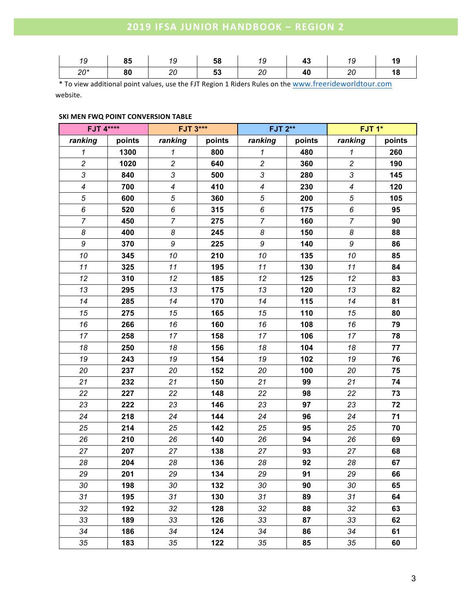# **2019 IFSA JUNIOR HANDBOOK – REGION 2**

| 19    | 85 | 19           | 58 | 1 Q | 47 | 19 |
|-------|----|--------------|----|-----|----|----|
| $20*$ | 80 | 20<br>$\sim$ | 53 | 20  | 40 | 18 |

\* To view additional point values, use the FJT Region 1 Riders Rules on the www.freerideworldtour.com website.

### **SKI MEN FWQ POINT CONVERSION TABLE**

| <b>FJT 4****</b>           |        | <b>FJT 3***</b>          |        | <b>FJT 2**</b>   |        | FJT <sub>1</sub> * |        |  |
|----------------------------|--------|--------------------------|--------|------------------|--------|--------------------|--------|--|
| ranking                    | points | ranking                  | points | ranking          | points | ranking            | points |  |
| $\boldsymbol{\mathcal{L}}$ | 1300   | $\mathbf{1}$             | 800    | $\mathbf{1}$     | 480    | $\mathbf{1}$       | 260    |  |
| $\overline{c}$             | 1020   | $\overline{a}$           | 640    | $\overline{c}$   | 360    | $\overline{c}$     | 190    |  |
| 3                          | 840    | $\mathfrak{Z}$           | 500    | 3                | 280    | $\mathfrak{Z}$     | 145    |  |
| $\boldsymbol{4}$           | 700    | $\overline{\mathcal{A}}$ | 410    | $\boldsymbol{4}$ | 230    | $\boldsymbol{4}$   | 120    |  |
| $\sqrt{5}$                 | 600    | $\sqrt{5}$               | 360    | 5                | 200    | $\sqrt{5}$         | 105    |  |
| 6                          | 520    | 6                        | 315    | 6                | 175    | 6                  | 95     |  |
| $\overline{7}$             | 450    | $\overline{7}$           | 275    | $\overline{7}$   | 160    | $\overline{7}$     | 90     |  |
| $\boldsymbol{8}$           | 400    | 8                        | 245    | 8                | 150    | $\boldsymbol{8}$   | 88     |  |
| $\boldsymbol{9}$           | 370    | 9                        | 225    | 9                | 140    | $\boldsymbol{9}$   | 86     |  |
| 10                         | 345    | 10                       | 210    | 10               | 135    | 10                 | 85     |  |
| 11                         | 325    | 11                       | 195    | 11               | 130    | 11                 | 84     |  |
| 12                         | 310    | 12                       | 185    | 12               | 125    | 12                 | 83     |  |
| 13                         | 295    | 13                       | 175    | 13               | 120    | 13                 | 82     |  |
| 14                         | 285    | 14                       | 170    | 14               | 115    | 14                 | 81     |  |
| 15                         | 275    | 15                       | 165    | 15               | 110    | 15                 | 80     |  |
| 16                         | 266    | 16                       | 160    | 16               | 108    | 16                 | 79     |  |
| 17                         | 258    | 17                       | 158    | 17               | 106    | 17                 | 78     |  |
| 18                         | 250    | 18                       | 156    | 18               | 104    | 18                 | 77     |  |
| 19                         | 243    | 19                       | 154    | 19               | 102    | 19                 | 76     |  |
| 20                         | 237    | 20                       | 152    | 20               | 100    | 20                 | 75     |  |
| 21                         | 232    | 21                       | 150    | 21               | 99     | 21                 | 74     |  |
| 22                         | 227    | 22                       | 148    | 22               | 98     | 22                 | 73     |  |
| 23                         | 222    | 23                       | 146    | 23               | 97     | 23                 | 72     |  |
| 24                         | 218    | 24                       | 144    | 24               | 96     | 24                 | 71     |  |
| 25                         | 214    | 25                       | 142    | 25               | 95     | 25                 | 70     |  |
| 26                         | 210    | 26                       | 140    | 26               | 94     | 26                 | 69     |  |
| 27                         | 207    | 27                       | 138    | 27               | 93     | 27                 | 68     |  |
| 28                         | 204    | 28                       | 136    | 28               | 92     | 28                 | 67     |  |
| 29                         | 201    | 29                       | 134    | 29               | 91     | 29                 | 66     |  |
| 30                         | 198    | 30                       | 132    | 30               | 90     | 30                 | 65     |  |
| 31                         | 195    | 31                       | 130    | 31               | 89     | 31                 | 64     |  |
| 32                         | 192    | 32                       | 128    | 32               | 88     | 32                 | 63     |  |
| 33                         | 189    | 33                       | 126    | 33               | 87     | 33                 | 62     |  |
| 34                         | 186    | 34                       | 124    | 34               | 86     | 34                 | 61     |  |
| 35                         | 183    | 35                       | 122    | 35               | 85     | 35                 | 60     |  |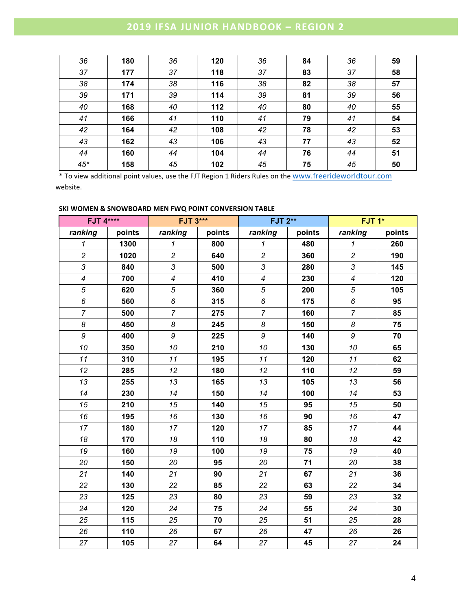# **2019 IFSA JUNIOR HANDBOOK – REGION 2**

| 36    | 180 | 36 | 120 | 36 | 84 | 36 | 59 |
|-------|-----|----|-----|----|----|----|----|
| 37    | 177 | 37 | 118 | 37 | 83 | 37 | 58 |
| 38    | 174 | 38 | 116 | 38 | 82 | 38 | 57 |
| 39    | 171 | 39 | 114 | 39 | 81 | 39 | 56 |
| 40    | 168 | 40 | 112 | 40 | 80 | 40 | 55 |
| 41    | 166 | 41 | 110 | 41 | 79 | 41 | 54 |
| 42    | 164 | 42 | 108 | 42 | 78 | 42 | 53 |
| 43    | 162 | 43 | 106 | 43 | 77 | 43 | 52 |
| 44    | 160 | 44 | 104 | 44 | 76 | 44 | 51 |
| $45*$ | 158 | 45 | 102 | 45 | 75 | 45 | 50 |

\* To view additional point values, use the FJT Region 1 Riders Rules on the www.freerideworldtour.com website.

### **SKI WOMEN & SNOWBOARD MEN FWQ POINT CONVERSION TABLE**

|                            | <b>FJT 4****</b> |                          | <b>FJT 3***</b> |                  | <b>FJT 2**</b> | FJT <sub>1</sub> *       |        |
|----------------------------|------------------|--------------------------|-----------------|------------------|----------------|--------------------------|--------|
| ranking                    | points           | ranking                  | points          | ranking          | points         | ranking                  | points |
| $\boldsymbol{\mathcal{L}}$ | 1300             | $\mathbf{1}$             | 800             | $\mathbf{1}$     | 480            | $\mathbf{1}$             | 260    |
| $\overline{c}$             | 1020             | $\overline{c}$           | 640             | $\overline{c}$   | 360            | $\overline{c}$           | 190    |
| 3                          | 840              | 3                        | 500             | 3                | 280            | 3                        | 145    |
| $\overline{4}$             | 700              | $\overline{\mathcal{A}}$ | 410             | $\overline{4}$   | 230            | $\overline{\mathcal{A}}$ | 120    |
| 5                          | 620              | 5                        | 360             | 5                | 200            | 5                        | 105    |
| 6                          | 560              | 6                        | 315             | $\boldsymbol{6}$ | 175            | $\boldsymbol{6}$         | 95     |
| $\overline{7}$             | 500              | $\overline{7}$           | 275             | $\overline{7}$   | 160            | $\overline{7}$           | 85     |
| 8                          | 450              | 8                        | 245             | 8                | 150            | 8                        | 75     |
| 9                          | 400              | 9                        | 225             | $\boldsymbol{9}$ | 140            | $\boldsymbol{9}$         | 70     |
| 10                         | 350              | 10                       | 210             | 10               | 130            | 10                       | 65     |
| 11                         | 310              | 11                       | 195             | 11               | 120            | 11                       | 62     |
| 12                         | 285              | 12                       | 180             | 12               | 110            | 12                       | 59     |
| 13                         | 255              | 13                       | 165             | 13               | 105            | 13                       | 56     |
| 14                         | 230              | 14                       | 150             | 14               | 100            | 14                       | 53     |
| 15                         | 210              | 15                       | 140             | 15               | 95             | 15                       | 50     |
| 16                         | 195              | 16                       | 130             | 16               | 90             | 16                       | 47     |
| 17                         | 180              | 17                       | 120             | 17               | 85             | 17                       | 44     |
| 18                         | 170              | 18                       | 110             | 18               | 80             | 18                       | 42     |
| 19                         | 160              | 19                       | 100             | 19               | 75             | 19                       | 40     |
| 20                         | 150              | 20                       | 95              | 20               | 71             | 20                       | 38     |
| 21                         | 140              | 21                       | 90              | 21               | 67             | 21                       | 36     |
| 22                         | 130              | 22                       | 85              | 22               | 63             | 22                       | 34     |
| 23                         | 125              | 23                       | 80              | 23               | 59             | 23                       | 32     |
| 24                         | 120              | 24                       | 75              | 24               | 55             | 24                       | 30     |
| 25                         | 115              | 25                       | 70              | 25               | 51             | 25                       | 28     |
| 26                         | 110              | 26                       | 67              | 26               | 47             | 26                       | 26     |
| 27                         | 105              | 27                       | 64              | 27               | 45             | 27                       | 24     |